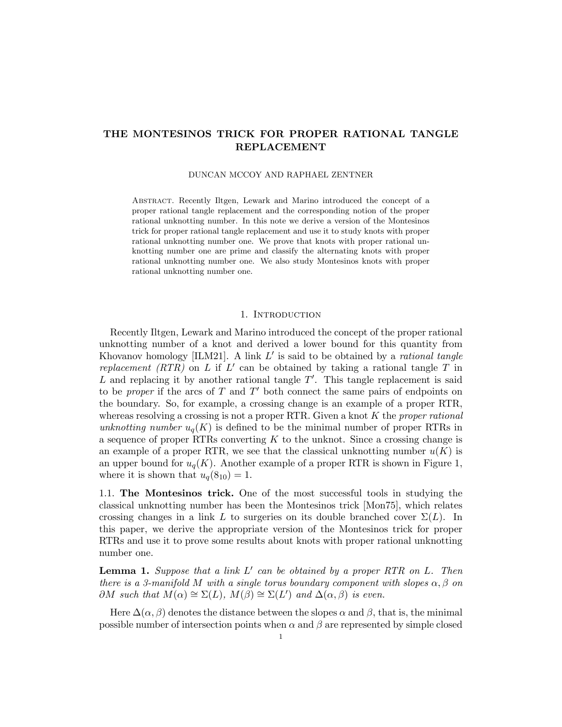# THE MONTESINOS TRICK FOR PROPER RATIONAL TANGLE REPLACEMENT

### DUNCAN MCCOY AND RAPHAEL ZENTNER

Abstract. Recently Iltgen, Lewark and Marino introduced the concept of a proper rational tangle replacement and the corresponding notion of the proper rational unknotting number. In this note we derive a version of the Montesinos trick for proper rational tangle replacement and use it to study knots with proper rational unknotting number one. We prove that knots with proper rational unknotting number one are prime and classify the alternating knots with proper rational unknotting number one. We also study Montesinos knots with proper rational unknotting number one.

#### 1. INTRODUCTION

Recently Iltgen, Lewark and Marino introduced the concept of the proper rational unknotting number of a knot and derived a lower bound for this quantity from Khovanov homology [ILM21]. A link *L*′ is said to be obtained by a *rational tangle replacement (RTR)* on *L* if *L*′ can be obtained by taking a rational tangle *T* in *L* and replacing it by another rational tangle *T*′ . This tangle replacement is said to be *proper* if the arcs of *T* and *T*′ both connect the same pairs of endpoints on the boundary. So, for example, a crossing change is an example of a proper RTR, whereas resolving a crossing is not a proper RTR. Given a knot *K* the *proper rational unknotting number*  $u_q(K)$  is defined to be the minimal number of proper RTRs in a sequence of proper RTRs converting *K* to the unknot. Since a crossing change is an example of a proper RTR, we see that the classical unknotting number  $u(K)$  is an upper bound for  $u_q(K)$ . Another example of a proper RTR is shown in Figure 1, where it is shown that  $u_q(8_{10}) = 1$ .

1.1. The Montesinos trick. One of the most successful tools in studying the classical unknotting number has been the Montesinos trick [Mon75], which relates crossing changes in a link L to surgeries on its double branched cover  $\Sigma(L)$ . In this paper, we derive the appropriate version of the Montesinos trick for proper RTRs and use it to prove some results about knots with proper rational unknotting number one.

Lemma 1. *Suppose that a link L*′ *can be obtained by a proper RTR on L. Then there is* a 3-manifold M with a single torus boundary component with slopes  $\alpha, \beta$  on  $\partial M$  *such that*  $M(\alpha) \cong \Sigma(L)$ ,  $M(\beta) \cong \Sigma(L')$  *and*  $\Delta(\alpha, \beta)$  *is even.* 

Here  $\Delta(\alpha, \beta)$  denotes the distance between the slopes  $\alpha$  and  $\beta$ , that is, the minimal possible number of intersection points when  $\alpha$  and  $\beta$  are represented by simple closed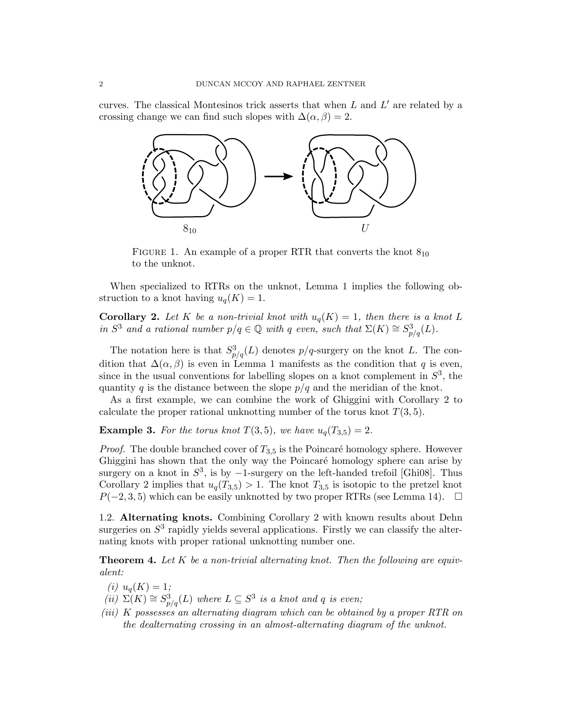curves. The classical Montesinos trick asserts that when *L* and *L*′ are related by a crossing change we can find such slopes with  $\Delta(\alpha, \beta) = 2$ .



FIGURE 1. An example of a proper RTR that converts the knot  $8_{10}$ to the unknot.

When specialized to RTRs on the unknot, Lemma 1 implies the following obstruction to a knot having  $u_q(K) = 1$ .

**Corollary 2.** Let K be a non-trivial knot with  $u_q(K) = 1$ , then there is a knot L *in*  $S^3$  *and a rational number*  $p/q \in \mathbb{Q}$  *with q even, such that*  $\Sigma(K) \cong S^3_{p/q}(L)$ *.* 

The notation here is that  $S_{p/q}^3(L)$  denotes  $p/q$ -surgery on the knot *L*. The condition that  $\Delta(\alpha, \beta)$  is even in Lemma 1 manifests as the condition that *q* is even, since in the usual conventions for labelling slopes on a knot complement in  $S<sup>3</sup>$ , the quantity *q* is the distance between the slope  $p/q$  and the meridian of the knot.

As a first example, we can combine the work of Ghiggini with Corollary 2 to calculate the proper rational unknotting number of the torus knot *T*(3*,* 5).

**Example 3.** For the torus knot  $T(3,5)$ , we have  $u_q(T_{3,5}) = 2$ .

*Proof.* The double branched cover of  $T_{3,5}$  is the Poincaré homology sphere. However Ghiggini has shown that the only way the Poincaré homology sphere can arise by surgery on a knot in  $S^3$ , is by  $-1$ -surgery on the left-handed trefoil [Ghi08]. Thus Corollary 2 implies that  $u_q(T_{3,5}) > 1$ . The knot  $T_{3,5}$  is isotopic to the pretzel knot  $P(-2, 3, 5)$  which can be easily unknotted by two proper RTRs (see Lemma 14). □

1.2. Alternating knots. Combining Corollary 2 with known results about Dehn surgeries on  $S<sup>3</sup>$  rapidly yields several applications. Firstly we can classify the alternating knots with proper rational unknotting number one.

Theorem 4. *Let K be a non-trivial alternating knot. Then the following are equivalent:*

 $(i)$   $u_q(K) = 1;$ 

- $(iii)$   $\Sigma(K) \cong S_{p/q}^3(L)$  *where*  $L \subseteq S^3$  *is a knot and q is even;*
- *(iii) K possesses an alternating diagram which can be obtained by a proper RTR on the dealternating crossing in an almost-alternating diagram of the unknot.*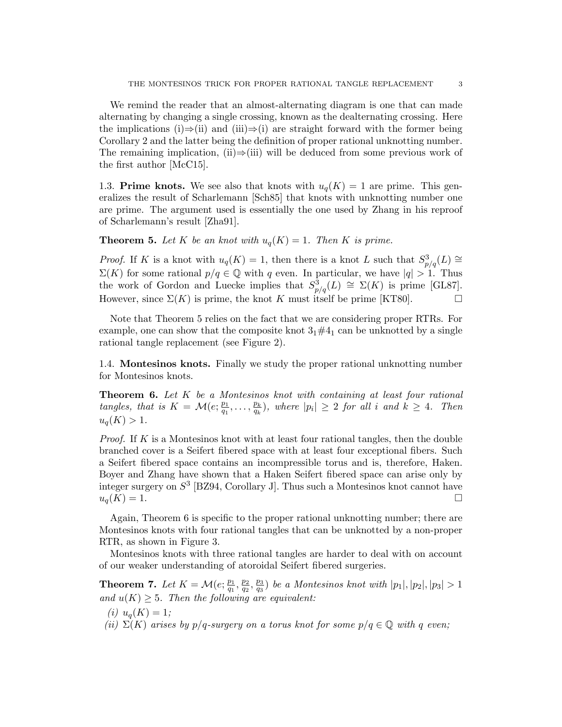We remind the reader that an almost-alternating diagram is one that can made alternating by changing a single crossing, known as the dealternating crossing. Here the implications (i)⇒(ii) and (iii)⇒(i) are straight forward with the former being Corollary 2 and the latter being the definition of proper rational unknotting number. The remaining implication, (ii) $\Rightarrow$ (iii) will be deduced from some previous work of the first author [McC15].

1.3. **Prime knots.** We see also that knots with  $u_q(K) = 1$  are prime. This generalizes the result of Scharlemann [Sch85] that knots with unknotting number one are prime. The argument used is essentially the one used by Zhang in his reproof of Scharlemann's result [Zha91].

**Theorem 5.** Let K be an knot with  $u_q(K) = 1$ . Then K is prime.

*Proof.* If *K* is a knot with  $u_q(K) = 1$ , then there is a knot *L* such that  $S_{p/q}^3(L) \cong$  $\Sigma(K)$  for some rational  $p/q \in \mathbb{Q}$  with *q* even. In particular, we have  $|q| > 1$ . Thus the work of Gordon and Luecke implies that  $S_{p/q}^3(L) \cong \Sigma(K)$  is prime [GL87]. However, since  $\Sigma(K)$  is prime, the knot *K* must itself be prime [KT80].  $\Box$ 

Note that Theorem 5 relies on the fact that we are considering proper RTRs. For example, one can show that the composite knot  $3<sub>1</sub>\#4<sub>1</sub>$  can be unknotted by a single rational tangle replacement (see Figure 2).

1.4. Montesinos knots. Finally we study the proper rational unknotting number for Montesinos knots.

Theorem 6. *Let K be a Montesinos knot with containing at least four rational* tangles, that is  $K = \mathcal{M}(e; \frac{p_1}{q_1}, \dots, \frac{p_k}{q_k}),$  where  $|p_i| \geq 2$  for all i and  $k \geq 4$ . Then  $u_q(K) > 1$ .

*Proof.* If *K* is a Montesinos knot with at least four rational tangles, then the double branched cover is a Seifert fibered space with at least four exceptional fibers. Such a Seifert fibered space contains an incompressible torus and is, therefore, Haken. Boyer and Zhang have shown that a Haken Seifert fibered space can arise only by integer surgery on *S*<sup>3</sup> [BZ94, Corollary J]. Thus such a Montesinos knot cannot have  $u_q(K) = 1.$ 

Again, Theorem 6 is specific to the proper rational unknotting number; there are Montesinos knots with four rational tangles that can be unknotted by a non-proper RTR, as shown in Figure 3.

Montesinos knots with three rational tangles are harder to deal with on account of our weaker understanding of atoroidal Seifert fibered surgeries.

**Theorem 7.** Let  $K = \mathcal{M}(e; \frac{p_1}{q_1}, \frac{p_2}{q_2}, \frac{p_3}{q_3})$  be a Montesinos knot with  $|p_1|, |p_2|, |p_3| > 1$ *and*  $u(K) \geq 5$ *. Then the following are equivalent:* 

- $(i)$   $u_q(K) = 1;$
- *(ii)*  $\Sigma(K)$  *arises by*  $p/q$ *-surgery on a torus knot for some*  $p/q \in \mathbb{Q}$  *with q even*;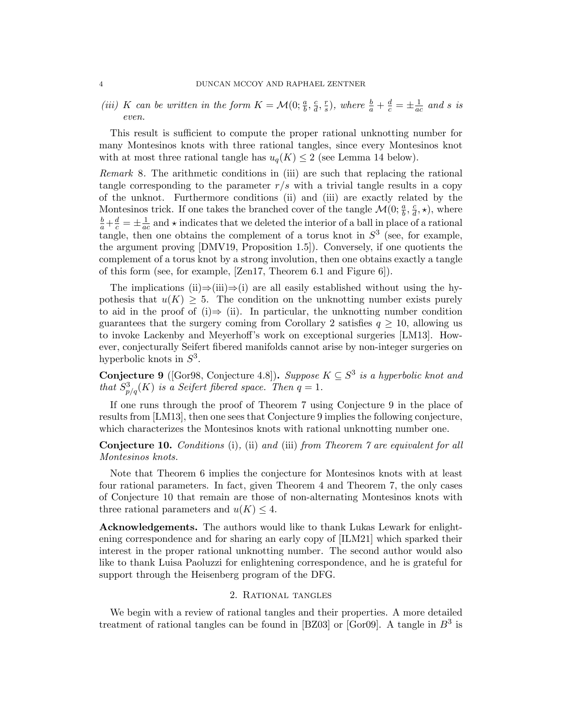(iii) K can be written in the form  $K = \mathcal{M}(0; \frac{a}{b}, \frac{c}{d}, \frac{r}{s})$ , where  $\frac{b}{a} + \frac{d}{c} = \pm \frac{1}{ac}$  and s is *even.*

This result is sufficient to compute the proper rational unknotting number for many Montesinos knots with three rational tangles, since every Montesinos knot with at most three rational tangle has  $u_q(K) \leq 2$  (see Lemma 14 below).

*Remark* 8*.* The arithmetic conditions in (iii) are such that replacing the rational tangle corresponding to the parameter  $r/s$  with a trivial tangle results in a copy of the unknot. Furthermore conditions (ii) and (iii) are exactly related by the Montesinos trick. If one takes the branched cover of the tangle  $\mathcal{M}(0; \frac{a}{b}, \frac{c}{d}, \star)$ , where  $\frac{b}{a} + \frac{d}{c} = \pm \frac{1}{ac}$  and  $\star$  indicates that we deleted the interior of a ball in place of a rational tangle, then one obtains the complement of a torus knot in  $S<sup>3</sup>$  (see, for example, the argument proving [DMV19, Proposition 1.5]). Conversely, if one quotients the complement of a torus knot by a strong involution, then one obtains exactly a tangle of this form (see, for example, [Zen17, Theorem 6.1 and Figure 6]).

The implications (ii) $\Rightarrow$ (iii) $\Rightarrow$ (i) are all easily established without using the hypothesis that  $u(K) \geq 5$ . The condition on the unknotting number exists purely to aid in the proof of (i) $\Rightarrow$  (ii). In particular, the unknotting number condition guarantees that the surgery coming from Corollary 2 satisfies  $q \geq 10$ , allowing us to invoke Lackenby and Meyerhoff's work on exceptional surgeries [LM13]. However, conjecturally Seifert fibered manifolds cannot arise by non-integer surgeries on hyperbolic knots in *S*3.

**Conjecture 9** ([Gor98, Conjecture 4.8]). *Suppose*  $K \subseteq S^3$  *is a hyperbolic knot and that*  $S_{p/q}^3(K)$  *is a Seifert fibered space. Then*  $q = 1$ *.* 

If one runs through the proof of Theorem 7 using Conjecture 9 in the place of results from [LM13], then one sees that Conjecture 9 implies the following conjecture, which characterizes the Montesinos knots with rational unknotting number one.

## Conjecture 10. *Conditions* (i)*,* (ii) *and* (iii) *from Theorem 7 are equivalent for all Montesinos knots.*

Note that Theorem 6 implies the conjecture for Montesinos knots with at least four rational parameters. In fact, given Theorem 4 and Theorem 7, the only cases of Conjecture 10 that remain are those of non-alternating Montesinos knots with three rational parameters and  $u(K) \leq 4$ .

Acknowledgements. The authors would like to thank Lukas Lewark for enlightening correspondence and for sharing an early copy of [ILM21] which sparked their interest in the proper rational unknotting number. The second author would also like to thank Luisa Paoluzzi for enlightening correspondence, and he is grateful for support through the Heisenberg program of the DFG.

#### 2. Rational tangles

We begin with a review of rational tangles and their properties. A more detailed treatment of rational tangles can be found in [BZ03] or [Gor09]. A tangle in *B*<sup>3</sup> is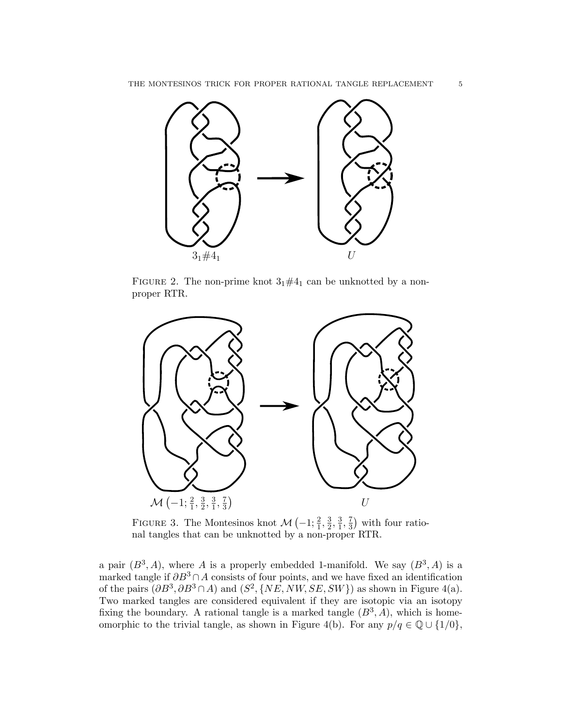

FIGURE 2. The non-prime knot  $3_1 \# 4_1$  can be unknotted by a nonproper RTR.



FIGURE 3. The Montesinos knot  $\mathcal{M}\left(-1;\frac{2}{1},\frac{3}{2},\frac{3}{1},\frac{7}{3}\right)$  with four rational tangles that can be unknotted by a non-proper RTR.

a pair  $(B^3, A)$ , where *A* is a properly embedded 1-manifold. We say  $(B^3, A)$  is a marked tangle if  $\partial B^3 \cap A$  consists of four points, and we have fixed an identification of the pairs  $(\partial B^3, \partial B^3 \cap A)$  and  $(S^2, \{NE, NW, SE, SW\})$  as shown in Figure 4(a). Two marked tangles are considered equivalent if they are isotopic via an isotopy fixing the boundary. A rational tangle is a marked tangle  $(B^3, A)$ , which is homeomorphic to the trivial tangle, as shown in Figure 4(b). For any  $p/q \in \mathbb{Q} \cup \{1/0\}$ ,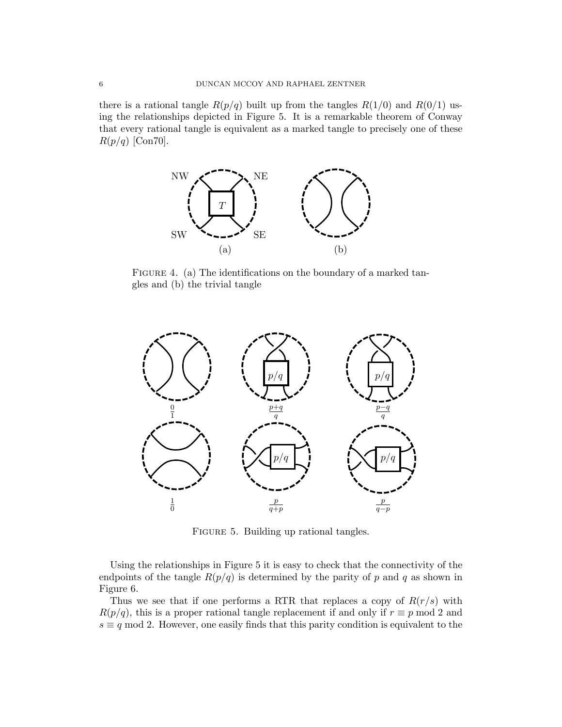there is a rational tangle  $R(p/q)$  built up from the tangles  $R(1/0)$  and  $R(0/1)$  using the relationships depicted in Figure 5. It is a remarkable theorem of Conway that every rational tangle is equivalent as a marked tangle to precisely one of these *R*(*p/q*) [Con70].



FIGURE 4. (a) The identifications on the boundary of a marked tangles and (b) the trivial tangle



FIGURE 5. Building up rational tangles.

Using the relationships in Figure 5 it is easy to check that the connectivity of the endpoints of the tangle  $R(p/q)$  is determined by the parity of p and q as shown in Figure 6.

Thus we see that if one performs a RTR that replaces a copy of  $R(r/s)$  with  $R(p/q)$ , this is a proper rational tangle replacement if and only if  $r \equiv p \mod 2$  and  $s \equiv q \mod 2$ . However, one easily finds that this parity condition is equivalent to the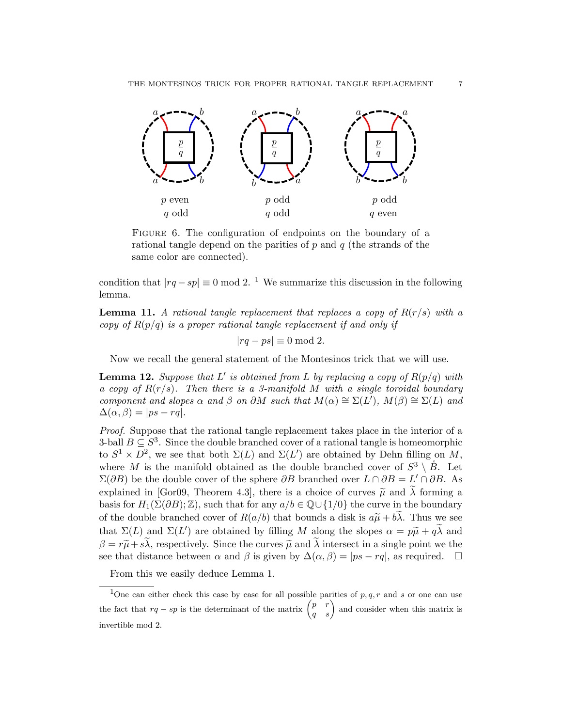

FIGURE 6. The configuration of endpoints on the boundary of a rational tangle depend on the parities of *p* and *q* (the strands of the same color are connected).

condition that  $|rq - sp| \equiv 0 \mod 2$ . <sup>1</sup> We summarize this discussion in the following lemma.

**Lemma 11.** A rational tangle replacement that replaces a copy of  $R(r/s)$  with a *copy of R*(*p/q*) *is a proper rational tangle replacement if and only if*

$$
|rq - ps| \equiv 0 \bmod 2.
$$

Now we recall the general statement of the Montesinos trick that we will use.

**Lemma 12.** *Suppose that*  $L'$  *is obtained from*  $L$  *by replacing a copy* of  $R(p/q)$  *with a copy of R*(*r/s*)*. Then there is a 3-manifold M with a single toroidal boundary component* and *slopes*  $\alpha$  *and*  $\beta$  *on*  $\partial M$  *such that*  $M(\alpha) \cong \Sigma(L')$ ,  $M(\beta) \cong \Sigma(L)$  *and*  $\Delta(\alpha, \beta) = |ps - rq|$ .

*Proof.* Suppose that the rational tangle replacement takes place in the interior of a 3-ball  $B \subseteq S^3$ . Since the double branched cover of a rational tangle is homeomorphic to  $S^1 \times D^2$ , we see that both  $\Sigma(L)$  and  $\Sigma(L')$  are obtained by Dehn filling on M, where *M* is the manifold obtained as the double branched cover of  $S^3 \setminus \overset{\circ}{B}$ . Let  $\Sigma(\partial B)$  be the double cover of the sphere  $\partial B$  branched over  $L \cap \partial B = L' \cap \partial B$ . As explained in [Gor09, Theorem 4.3], there is a choice of curves  $\tilde{\mu}$  and  $\tilde{\lambda}$  forming a basis for  $H_1(\Sigma(\partial B); \mathbb{Z})$ , such that for any  $a/b \in \mathbb{Q} \cup \{1/0\}$  the curve in the boundary of the double branched cover of  $R(a/b)$  that bounds a disk is  $a\tilde{\mu} + b\tilde{\lambda}$ . Thus we see that  $\Sigma(L)$  and  $\Sigma(L')$  are obtained by filling *M* along the slopes  $\alpha = p\tilde{\mu} + q\lambda$  and  $\beta = r\tilde{\mu} + s\lambda$ , respectively. Since the curves  $\tilde{\mu}$  and  $\lambda$  intersect in a single point we the see that distance between  $\alpha$  and  $\beta$  is given by  $\Delta(\alpha, \beta) = |ps - rq|$ , as required.  $\Box$ 

From this we easily deduce Lemma 1.

<sup>&</sup>lt;sup>1</sup>One can either check this case by case for all possible parities of  $p, q, r$  and *s* or one can use the fact that  $rq - sp$  is the determinant of the matrix  $\begin{pmatrix} p & r \\ q & s \end{pmatrix}$ *q s* ) and consider when this matrix is invertible mod 2.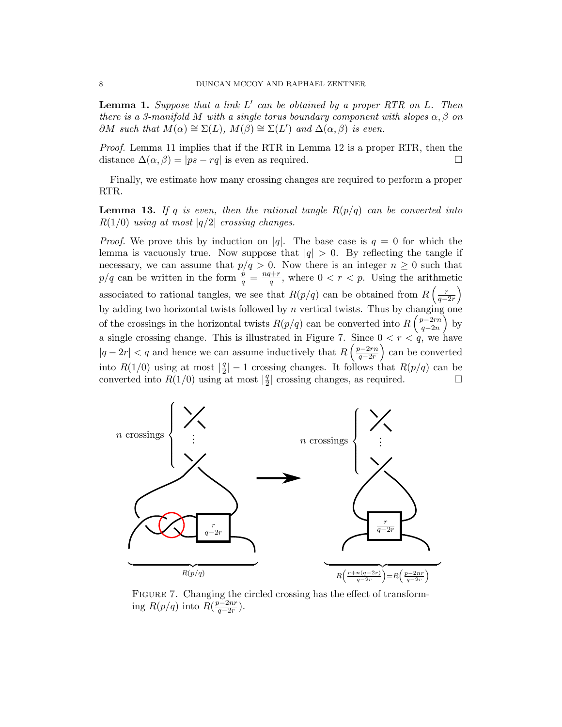Lemma 1. *Suppose that a link L*′ *can be obtained by a proper RTR on L. Then there is* a 3-manifold M with a single torus boundary component with slopes  $\alpha, \beta$  on  $\partial M$  *such that*  $M(\alpha) \cong \Sigma(L)$ ,  $M(\beta) \cong \Sigma(L')$  *and*  $\Delta(\alpha, \beta)$  *is even.* 

*Proof.* Lemma 11 implies that if the RTR in Lemma 12 is a proper RTR, then the distance  $\Delta(\alpha, \beta) = |ps - rq|$  is even as required. □

Finally, we estimate how many crossing changes are required to perform a proper RTR.

**Lemma 13.** If q is even, then the rational tangle  $R(p/q)$  can be converted into  $R(1/0)$  *using at most*  $|q/2|$  *crossing changes.* 

*Proof.* We prove this by induction on *|q*|. The base case is  $q = 0$  for which the lemma is vacuously true. Now suppose that  $|q| > 0$ . By reflecting the tangle if necessary, we can assume that  $p/q > 0$ . Now there is an integer  $n \geq 0$  such that  $p/q$  can be written in the form  $\frac{p}{q} = \frac{nq+r}{q}$ , where  $0 < r < p$ . Using the arithmetic associated to rational tangles, we see that  $R(p/q)$  can be obtained from  $R\left(\frac{r}{q-q}\right)$ *q*−2*r*  $\overline{ }$ by adding two horizontal twists followed by *n* vertical twists. Thus by changing one of the crossings in the horizontal twists  $R(p/q)$  can be converted into  $R\left(\frac{p-2rn}{q-2n}\right)$ *q*−2*n*  $\big)$  by a single crossing change. This is illustrated in Figure 7. Since  $0 < r < q$ , we have  $|q - 2r| < q$  and hence we can assume inductively that  $R\left(\frac{p-2rn}{q-2r}\right)$ *q*−2*r*  $\big)$  can be converted into *R*(1/0) using at most  $|\frac{q}{2}| - 1$  crossing changes. It follows that *R*(*p/q*) can be converted into  $R(1/0)$  using at most  $|\frac{q}{2}|$  crossing changes, as required. □



FIGURE 7. Changing the circled crossing has the effect of transforming  $R(p/q)$  into  $R(\frac{p-2nr}{q-2r})$ .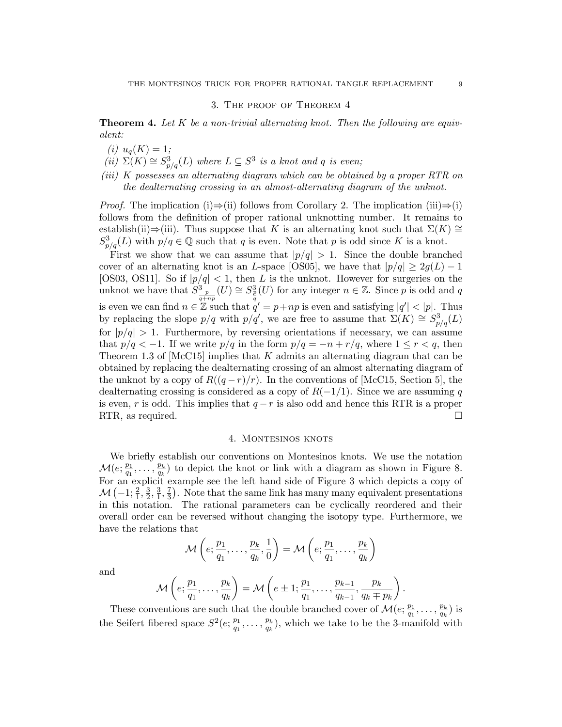### 3. The proof of Theorem 4

Theorem 4. *Let K be a non-trivial alternating knot. Then the following are equivalent:*

- $(i)$   $u_q(K) = 1;$
- $(iii)$   $\Sigma(K) \cong S_{p/q}^3(L)$  *where*  $L \subseteq S^3$  *is a knot and q is even;*
- *(iii) K possesses an alternating diagram which can be obtained by a proper RTR on the dealternating crossing in an almost-alternating diagram of the unknot.*

*Proof.* The implication (i)⇒(ii) follows from Corollary 2. The implication (iii)⇒(i) follows from the definition of proper rational unknotting number. It remains to establish(ii)⇒(iii). Thus suppose that *K* is an alternating knot such that  $\Sigma(K) \cong$  $S_{p/q}^3(L)$  with  $p/q \in \mathbb{Q}$  such that *q* is even. Note that *p* is odd since *K* is a knot.

First we show that we can assume that  $|p/q| > 1$ . Since the double branched cover of an alternating knot is an *L*-space [OS05], we have that  $|p/q| \geq 2g(L) - 1$ [OS03, OS11]. So if  $|p/q| < 1$ , then *L* is the unknot. However for surgeries on the unknot we have that  $S^3_{\frac{p}{q+n p}}(U) \cong S^3_{\frac{p}{q}}(U)$  for any integer  $n \in \mathbb{Z}$ . Since *p* is odd and *q* is even we can find  $n \in \mathbb{Z}$  such that  $q' = p + np$  is even and satisfying  $|q'| < |p|$ . Thus by replacing the slope  $p/q$  with  $p/q'$ , we are free to assume that  $\Sigma(K) \cong S^3_{p/q}(L)$ for  $|p/q| > 1$ . Furthermore, by reversing orientations if necessary, we can assume that  $p/q < -1$ . If we write  $p/q$  in the form  $p/q = -n + r/q$ , where  $1 \le r < q$ , then Theorem 1.3 of [McC15] implies that *K* admits an alternating diagram that can be obtained by replacing the dealternating crossing of an almost alternating diagram of the unknot by a copy of  $R((q-r)/r)$ . In the conventions of [McC15, Section 5], the dealternating crossing is considered as a copy of *R*(−1*/*1). Since we are assuming *q* is even, *r* is odd. This implies that  $q - r$  is also odd and hence this RTR is a proper RTR. as required. RTR, as required.

## 4. MONTESINOS KNOTS

We briefly establish our conventions on Montesinos knots. We use the notation  $\mathcal{M}(e; \frac{p_1}{q_1}, \ldots, \frac{p_k}{q_k})$  to depict the knot or link with a diagram as shown in Figure 8. For an explicit example see the left hand side of Figure 3 which depicts a copy of  $M\left(-1;\frac{2}{1},\frac{3}{2},\frac{3}{1},\frac{7}{3}\right)$ . Note that the same link has many many equivalent presentations in this notation. The rational parameters can be cyclically reordered and their overall order can be reversed without changing the isotopy type. Furthermore, we have the relations that

$$
\mathcal{M}\left(e; \frac{p_1}{q_1}, \ldots, \frac{p_k}{q_k}, \frac{1}{0}\right) = \mathcal{M}\left(e; \frac{p_1}{q_1}, \ldots, \frac{p_k}{q_k}\right)
$$

and

$$
\mathcal{M}\left(e; \frac{p_1}{q_1}, \ldots, \frac{p_k}{q_k}\right) = \mathcal{M}\left(e \pm 1; \frac{p_1}{q_1}, \ldots, \frac{p_{k-1}}{q_{k-1}}, \frac{p_k}{q_k \mp p_k}\right).
$$

These conventions are such that the double branched cover of  $\mathcal{M}(e; \frac{p_1}{q_1}, \ldots, \frac{p_k}{q_k})$  is the Seifert fibered space  $S^2(e; \frac{p_1}{q_1}, \ldots, \frac{p_k}{q_k})$ , which we take to be the 3-manifold with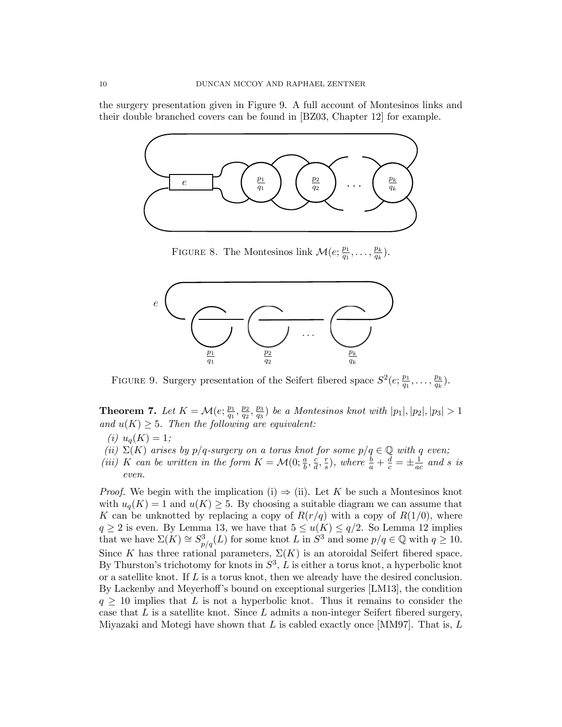the surgery presentation given in Figure 9. A full account of Montesinos links and their double branched covers can be found in [BZ03, Chapter 12] for example.



FIGURE 8. The Montesinos link  $\mathcal{M}(e; \frac{p_1}{q_1}, \ldots, \frac{p_k}{q_k}).$ 



FIGURE 9. Surgery presentation of the Seifert fibered space  $S^2(e; \frac{p_1}{q_1}, \ldots, \frac{p_k}{q_k})$ .

**Theorem 7.** Let  $K = \mathcal{M}(e; \frac{p_1}{q_1}, \frac{p_2}{q_2}, \frac{p_3}{q_3})$  be a Montesinos knot with  $|p_1|, |p_2|, |p_3| > 1$ *and*  $u(K) \geq 5$ *. Then the following are equivalent:* 

- $(i)$   $u_q(K) = 1;$
- *(ii)*  $\Sigma(K)$  *arises by p*/*q*-surgery *on a torus knot for some*  $p/q \in \mathbb{Q}$  *with q even*;
- (iii) K can be written in the form  $K = \mathcal{M}(0; \frac{a}{b}, \frac{c}{d}, \frac{r}{s})$ , where  $\frac{b}{a} + \frac{d}{c} = \pm \frac{1}{ac}$  and s is *even.*

*Proof.* We begin with the implication (i)  $\Rightarrow$  (ii). Let *K* be such a Montesinos knot with  $u_q(K) = 1$  and  $u(K) \geq 5$ . By choosing a suitable diagram we can assume that *K* can be unknotted by replacing a copy of  $R(r/q)$  with a copy of  $R(1/0)$ , where  $q \ge 2$  is even. By Lemma 13, we have that  $5 \le u(K) \le q/2$ . So Lemma 12 implies that we have  $\Sigma(K) \cong S^3_{p/q}(L)$  for some knot *L* in  $S^3$  and some  $p/q \in \mathbb{Q}$  with  $q \ge 10$ . Since *K* has three rational parameters,  $\Sigma(K)$  is an atoroidal Seifert fibered space. By Thurston's trichotomy for knots in  $S^3$ ,  $\hat{L}$  is either a torus knot, a hyperbolic knot or a satellite knot. If *L* is a torus knot, then we already have the desired conclusion. By Lackenby and Meyerhoff's bound on exceptional surgeries [LM13], the condition  $q \geq 10$  implies that *L* is not a hyperbolic knot. Thus it remains to consider the case that *L* is a satellite knot. Since *L* admits a non-integer Seifert fibered surgery, Miyazaki and Motegi have shown that *L* is cabled exactly once [MM97]. That is, *L*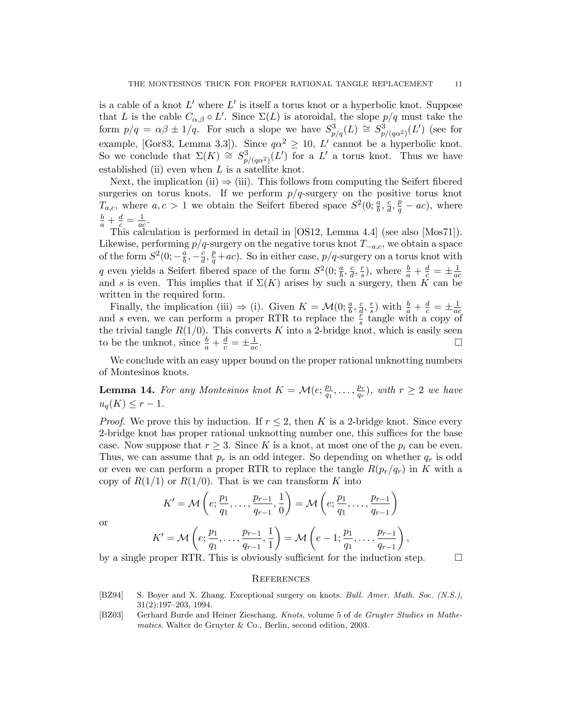is a cable of a knot *L*′ where *L*′ is itself a torus knot or a hyperbolic knot. Suppose that *L* is the cable  $C_{\alpha,\beta} \circ L'$ . Since  $\Sigma(L)$  is atoroidal, the slope  $p/q$  must take the form  $p/q = \alpha\beta \pm 1/q$ . For such a slope we have  $S^3_{p/q}(L) \cong S^3_{p/(q\alpha^2)}(L')$  (see for example, [Gor83, Lemma 3.3]). Since  $q\alpha^2 \ge 10$ , *L'* cannot be a hyperbolic knot. So we conclude that  $\Sigma(K) \cong S^3_{p/(q\alpha^2)}(L')$  for a  $L'$  a torus knot. Thus we have established (ii) even when *L* is a satellite knot.

Next, the implication (ii)  $\Rightarrow$  (iii). This follows from computing the Seifert fibered surgeries on torus knots. If we perform  $p/q$ -surgery on the positive torus knot *T<sub>a,c</sub>*, where  $a, c > 1$  we obtain the Seifert fibered space  $S^2(0; \frac{a}{b}, \frac{c}{d}, \frac{p}{q} - ac)$ , where  $\frac{b}{a} + \frac{d}{c} = \frac{1}{ac}$ .

This calculation is performed in detail in [OS12, Lemma 4.4] (see also [Mos71]). Likewise, performing *p/q*-surgery on the negative torus knot *T*−*a,c*, we obtain a space of the form  $S^2(0; -\frac{a}{b}, -\frac{c}{d}, \frac{p}{q}+ac)$ . So in either case,  $p/q$ -surgery on a torus knot with q even yields a Seifert fibered space of the form  $S^2(0; \frac{a}{b}, \frac{c}{d}, \frac{r}{s})$ , where  $\frac{b}{a} + \frac{d}{c} = \pm \frac{1}{ac}$ <br>and s is even. This implies that if  $\Sigma(K)$  arises by such a surgery, then K can be written in the required form.

Finally, the implication (iii)  $\Rightarrow$  (i). Given  $K = \mathcal{M}(0; \frac{a}{b}, \frac{c}{d}, \frac{r}{s})$  with  $\frac{b}{a} + \frac{d}{c} = \pm \frac{1}{ac}$ <br>and s even, we can perform a proper RTR to replace the  $\frac{r}{s}$  tangle with a copy of the trivial tangle  $R(1/0)$ . This converts K into a 2-bridge knot, which is easily seen to be the unknot, since  $\frac{b}{a} + \frac{d}{c} = \pm \frac{1}{a}$  $\frac{1}{ac}$ .

We conclude with an easy upper bound on the proper rational unknotting numbers of Montesinos knots.

**Lemma 14.** For any Montesinos knot  $K = \mathcal{M}(e; \frac{p_1}{q_1}, \ldots, \frac{p_r}{q_r}),$  with  $r \geq 2$  we have  $u_q(K) \leq r - 1$ *.* 

*Proof.* We prove this by induction. If  $r \leq 2$ , then K is a 2-bridge knot. Since every 2-bridge knot has proper rational unknotting number one, this suffices for the base case. Now suppose that  $r \geq 3$ . Since K is a knot, at most one of the  $p_i$  can be even. Thus, we can assume that *p<sup>r</sup>* is an odd integer. So depending on whether *q<sup>r</sup>* is odd or even we can perform a proper RTR to replace the tangle  $R(p_r/q_r)$  in K with a copy of  $R(1/1)$  or  $R(1/0)$ . That is we can transform K into

$$
K' = \mathcal{M}\left(e; \frac{p_1}{q_1}, \dots, \frac{p_{r-1}}{q_{r-1}}, \frac{1}{0}\right) = \mathcal{M}\left(e; \frac{p_1}{q_1}, \dots, \frac{p_{r-1}}{q_{r-1}}\right)
$$

or

$$
K' = \mathcal{M}\left(e; \frac{p_1}{q_1}, \dots, \frac{p_{r-1}}{q_{r-1}}, \frac{1}{1}\right) = \mathcal{M}\left(e-1; \frac{p_1}{q_1}, \dots, \frac{p_{r-1}}{q_{r-1}}\right),\,
$$

by a single proper RTR. This is obviously sufficient for the induction step.  $\Box$ 

#### **REFERENCES**

- [BZ94] S. Boyer and X. Zhang. Exceptional surgery on knots. *Bull. Amer. Math. Soc. (N.S.)*, 31(2):197–203, 1994.
- [BZ03] Gerhard Burde and Heiner Zieschang. *Knots*, volume 5 of *de Gruyter Studies in Mathematics*. Walter de Gruyter & Co., Berlin, second edition, 2003.